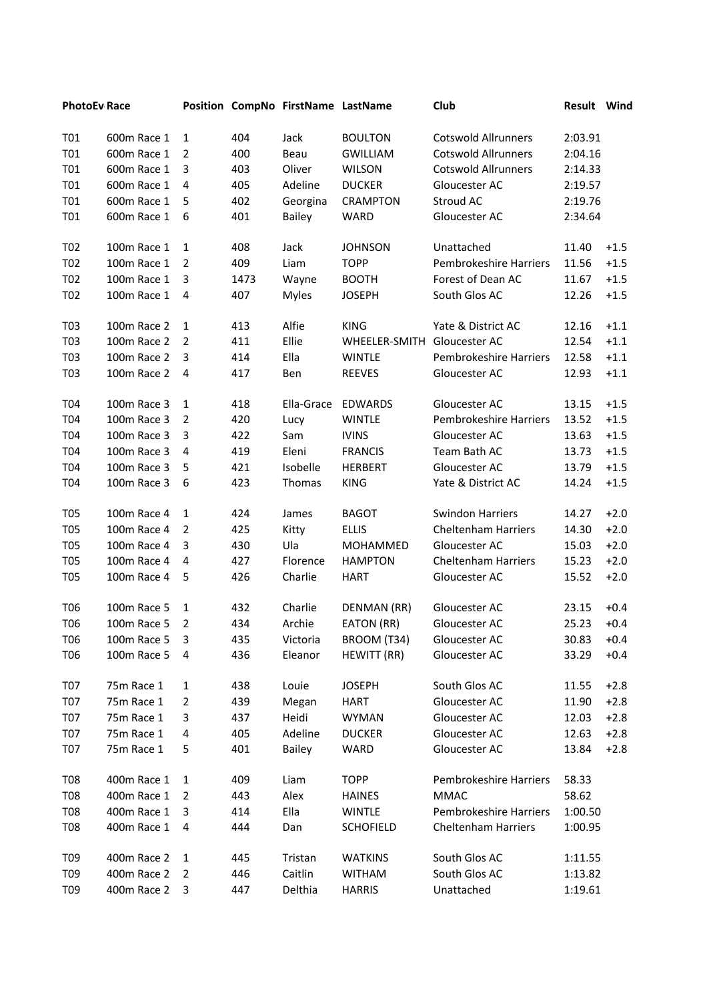| <b>PhotoEv Race</b> |             |                |      | Position CompNo FirstName LastName |                  | Club                       | Result Wind |        |
|---------------------|-------------|----------------|------|------------------------------------|------------------|----------------------------|-------------|--------|
| T01                 | 600m Race 1 | 1              | 404  | Jack                               | <b>BOULTON</b>   | <b>Cotswold Allrunners</b> | 2:03.91     |        |
| T01                 | 600m Race 1 | 2              | 400  | Beau                               | <b>GWILLIAM</b>  | <b>Cotswold Allrunners</b> | 2:04.16     |        |
| T01                 | 600m Race 1 | 3              | 403  | Oliver                             | <b>WILSON</b>    | <b>Cotswold Allrunners</b> | 2:14.33     |        |
| T01                 | 600m Race 1 | 4              | 405  | Adeline                            | <b>DUCKER</b>    | Gloucester AC              | 2:19.57     |        |
| <b>T01</b>          | 600m Race 1 | 5              | 402  | Georgina                           | <b>CRAMPTON</b>  | Stroud AC                  | 2:19.76     |        |
| T01                 | 600m Race 1 | 6              | 401  | <b>Bailey</b>                      | <b>WARD</b>      | Gloucester AC              | 2:34.64     |        |
| T <sub>02</sub>     | 100m Race 1 | 1              | 408  | Jack                               | <b>JOHNSON</b>   | Unattached                 | 11.40       | $+1.5$ |
| T02                 | 100m Race 1 | 2              | 409  | Liam                               | <b>TOPP</b>      | Pembrokeshire Harriers     | 11.56       | $+1.5$ |
| T02                 | 100m Race 1 | 3              | 1473 | Wayne                              | <b>BOOTH</b>     | Forest of Dean AC          | 11.67       | $+1.5$ |
| T02                 | 100m Race 1 | 4              | 407  | <b>Myles</b>                       | <b>JOSEPH</b>    | South Glos AC              | 12.26       | $+1.5$ |
| T03                 | 100m Race 2 | 1              | 413  | Alfie                              | <b>KING</b>      | Yate & District AC         | 12.16       | $+1.1$ |
| T03                 | 100m Race 2 | 2              | 411  | Ellie                              | WHEELER-SMITH    | Gloucester AC              | 12.54       | $+1.1$ |
| T03                 | 100m Race 2 | 3              | 414  | Ella                               | <b>WINTLE</b>    | Pembrokeshire Harriers     | 12.58       | $+1.1$ |
| T03                 | 100m Race 2 | 4              | 417  | Ben                                | <b>REEVES</b>    | Gloucester AC              | 12.93       | $+1.1$ |
| T04                 | 100m Race 3 | 1              | 418  | Ella-Grace                         | <b>EDWARDS</b>   | Gloucester AC              | 13.15       | $+1.5$ |
| T04                 | 100m Race 3 | $\overline{2}$ | 420  | Lucy                               | <b>WINTLE</b>    | Pembrokeshire Harriers     | 13.52       | $+1.5$ |
| T04                 | 100m Race 3 | 3              | 422  | Sam                                | <b>IVINS</b>     | Gloucester AC              | 13.63       | $+1.5$ |
| T04                 | 100m Race 3 | 4              | 419  | Eleni                              | <b>FRANCIS</b>   | Team Bath AC               | 13.73       | $+1.5$ |
| T04                 | 100m Race 3 | 5              | 421  | Isobelle                           | <b>HERBERT</b>   | Gloucester AC              | 13.79       | $+1.5$ |
| T04                 | 100m Race 3 | 6              | 423  | Thomas                             | <b>KING</b>      | Yate & District AC         | 14.24       | $+1.5$ |
| <b>T05</b>          | 100m Race 4 | 1              | 424  | James                              | <b>BAGOT</b>     | <b>Swindon Harriers</b>    | 14.27       | $+2.0$ |
| <b>T05</b>          | 100m Race 4 | 2              | 425  | Kitty                              | <b>ELLIS</b>     | <b>Cheltenham Harriers</b> | 14.30       | $+2.0$ |
| <b>T05</b>          | 100m Race 4 | 3              | 430  | Ula                                | MOHAMMED         | Gloucester AC              | 15.03       | $+2.0$ |
| <b>T05</b>          | 100m Race 4 | 4              | 427  | Florence                           | <b>HAMPTON</b>   | <b>Cheltenham Harriers</b> | 15.23       | $+2.0$ |
| <b>T05</b>          | 100m Race 4 | 5              | 426  | Charlie                            | <b>HART</b>      | Gloucester AC              | 15.52       | $+2.0$ |
| T <sub>06</sub>     | 100m Race 5 | 1              | 432  | Charlie                            | DENMAN (RR)      | Gloucester AC              | 23.15       | $+0.4$ |
| T06                 | 100m Race 5 | 2              | 434  | Archie                             | EATON (RR)       | Gloucester AC              | 25.23       | $+0.4$ |
| T06                 | 100m Race 5 | 3              | 435  | Victoria                           | BROOM (T34)      | Gloucester AC              | 30.83       | $+0.4$ |
| T06                 | 100m Race 5 | 4              | 436  | Eleanor                            | HEWITT (RR)      | Gloucester AC              | 33.29       | $+0.4$ |
| T07                 | 75m Race 1  | 1              | 438  | Louie                              | <b>JOSEPH</b>    | South Glos AC              | 11.55       | $+2.8$ |
| <b>T07</b>          | 75m Race 1  | 2              | 439  | Megan                              | <b>HART</b>      | Gloucester AC              | 11.90       | $+2.8$ |
| T07                 | 75m Race 1  | 3              | 437  | Heidi                              | <b>WYMAN</b>     | Gloucester AC              | 12.03       | $+2.8$ |
| T07                 | 75m Race 1  | 4              | 405  | Adeline                            | <b>DUCKER</b>    | Gloucester AC              | 12.63       | $+2.8$ |
| T07                 | 75m Race 1  | 5              | 401  | <b>Bailey</b>                      | WARD             | Gloucester AC              | 13.84       | $+2.8$ |
| T08                 | 400m Race 1 | 1              | 409  | Liam                               | <b>TOPP</b>      | Pembrokeshire Harriers     | 58.33       |        |
| <b>T08</b>          | 400m Race 1 | 2              | 443  | Alex                               | <b>HAINES</b>    | <b>MMAC</b>                | 58.62       |        |
| T08                 | 400m Race 1 | 3              | 414  | Ella                               | <b>WINTLE</b>    | Pembrokeshire Harriers     | 1:00.50     |        |
| T08                 | 400m Race 1 | 4              | 444  | Dan                                | <b>SCHOFIELD</b> | <b>Cheltenham Harriers</b> | 1:00.95     |        |
| T09                 | 400m Race 2 | 1              | 445  | Tristan                            | <b>WATKINS</b>   | South Glos AC              | 1:11.55     |        |
| T09                 | 400m Race 2 | 2              | 446  | Caitlin                            | <b>WITHAM</b>    | South Glos AC              | 1:13.82     |        |
| T09                 | 400m Race 2 | 3              | 447  | Delthia                            | <b>HARRIS</b>    | Unattached                 | 1:19.61     |        |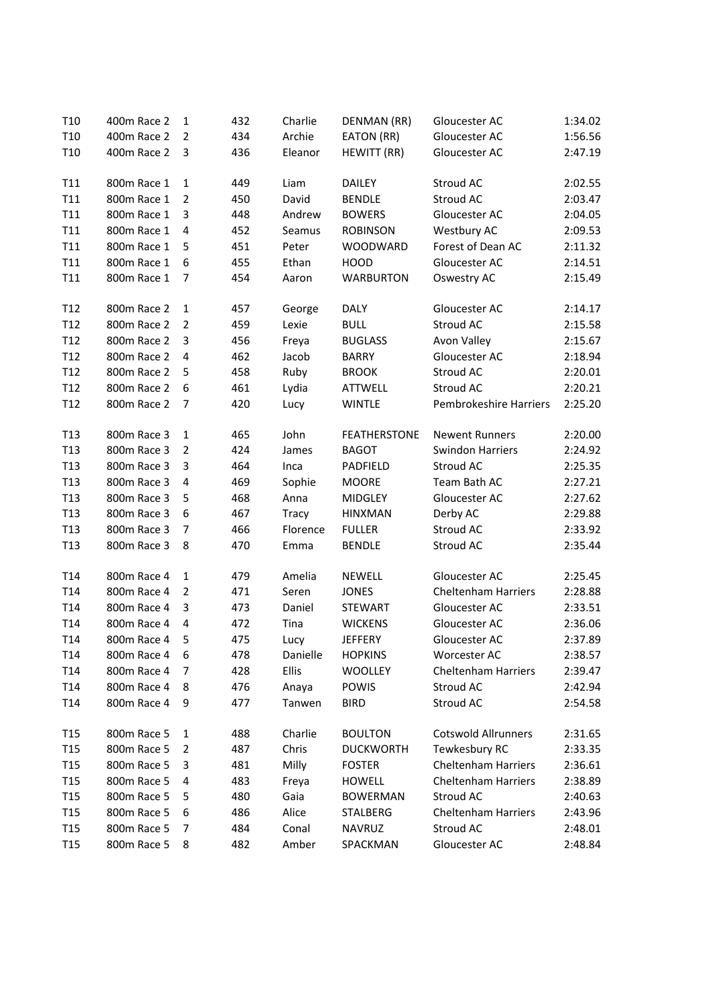| T <sub>10</sub> | 400m Race 2 | 1              | 432 | Charlie      | DENMAN (RR)         | Gloucester AC                 | 1:34.02 |
|-----------------|-------------|----------------|-----|--------------|---------------------|-------------------------------|---------|
| T <sub>10</sub> | 400m Race 2 | 2              | 434 | Archie       | EATON (RR)          | Gloucester AC                 | 1:56.56 |
| T <sub>10</sub> | 400m Race 2 | 3              | 436 | Eleanor      | HEWITT (RR)         | Gloucester AC                 | 2:47.19 |
|                 |             |                |     |              |                     |                               |         |
| T <sub>11</sub> | 800m Race 1 | $\mathbf{1}$   | 449 | Liam         | DAILEY              | Stroud AC                     | 2:02.55 |
| T11             | 800m Race 1 | $\overline{2}$ | 450 | David        | <b>BENDLE</b>       | Stroud AC                     | 2:03.47 |
| T <sub>11</sub> | 800m Race 1 | 3              | 448 | Andrew       | <b>BOWERS</b>       | Gloucester AC                 | 2:04.05 |
| T11             | 800m Race 1 | 4              | 452 | Seamus       | <b>ROBINSON</b>     | Westbury AC                   | 2:09.53 |
| T11             | 800m Race 1 | 5              | 451 | Peter        | <b>WOODWARD</b>     | Forest of Dean AC             | 2:11.32 |
| T11             | 800m Race 1 | 6              | 455 | Ethan        | <b>HOOD</b>         | Gloucester AC                 | 2:14.51 |
| T11             | 800m Race 1 | 7              | 454 | Aaron        | <b>WARBURTON</b>    | Oswestry AC                   | 2:15.49 |
|                 |             |                |     |              |                     |                               |         |
| T <sub>12</sub> | 800m Race 2 | $\mathbf{1}$   | 457 | George       | <b>DALY</b>         | Gloucester AC                 | 2:14.17 |
| T <sub>12</sub> | 800m Race 2 | 2              | 459 | Lexie        | <b>BULL</b>         | Stroud AC                     | 2:15.58 |
| T12             | 800m Race 2 | 3              | 456 | Freya        | <b>BUGLASS</b>      | Avon Valley                   | 2:15.67 |
| T <sub>12</sub> | 800m Race 2 | $\overline{4}$ | 462 | Jacob        | <b>BARRY</b>        | Gloucester AC                 | 2:18.94 |
| T <sub>12</sub> | 800m Race 2 | 5              | 458 | Ruby         | <b>BROOK</b>        | Stroud AC                     | 2:20.01 |
| T <sub>12</sub> | 800m Race 2 | 6              | 461 | Lydia        | ATTWELL             | Stroud AC                     | 2:20.21 |
| T <sub>12</sub> | 800m Race 2 | 7              | 420 | Lucy         | <b>WINTLE</b>       | <b>Pembrokeshire Harriers</b> | 2:25.20 |
|                 |             |                |     |              |                     |                               |         |
| T <sub>13</sub> | 800m Race 3 | $\mathbf{1}$   | 465 | John         | <b>FEATHERSTONE</b> | <b>Newent Runners</b>         | 2:20.00 |
| T <sub>13</sub> | 800m Race 3 | 2              | 424 | James        | <b>BAGOT</b>        | <b>Swindon Harriers</b>       | 2:24.92 |
| T <sub>13</sub> | 800m Race 3 | 3              | 464 | Inca         | PADFIELD            | Stroud AC                     | 2:25.35 |
| T <sub>13</sub> | 800m Race 3 | 4              | 469 | Sophie       | <b>MOORE</b>        | Team Bath AC                  | 2:27.21 |
| T <sub>13</sub> | 800m Race 3 | 5              | 468 | Anna         | MIDGLEY             | Gloucester AC                 | 2:27.62 |
| T <sub>13</sub> | 800m Race 3 | 6              | 467 | <b>Tracy</b> | <b>HINXMAN</b>      | Derby AC                      | 2:29.88 |
| T <sub>13</sub> | 800m Race 3 | 7              | 466 | Florence     | <b>FULLER</b>       | Stroud AC                     | 2:33.92 |
| T <sub>13</sub> | 800m Race 3 | 8              | 470 | Emma         | <b>BENDLE</b>       | Stroud AC                     | 2:35.44 |
|                 |             |                |     |              |                     |                               |         |
| T <sub>14</sub> | 800m Race 4 | $\mathbf{1}$   | 479 | Amelia       | <b>NEWELL</b>       | Gloucester AC                 | 2:25.45 |
| T <sub>14</sub> | 800m Race 4 | 2              | 471 | Seren        | <b>JONES</b>        | <b>Cheltenham Harriers</b>    | 2:28.88 |
| T <sub>14</sub> | 800m Race 4 | 3              | 473 | Daniel       | <b>STEWART</b>      | Gloucester AC                 | 2:33.51 |
| T <sub>14</sub> | 800m Race 4 | 4              | 472 | Tina         | <b>WICKENS</b>      | Gloucester AC                 | 2:36.06 |
| T <sub>14</sub> | 800m Race 4 | 5              | 475 | Lucy         | <b>JEFFERY</b>      | Gloucester AC                 | 2:37.89 |
| T <sub>14</sub> | 800m Race 4 | 6              | 478 | Danielle     | <b>HOPKINS</b>      | Worcester AC                  | 2:38.57 |
| T <sub>14</sub> | 800m Race 4 | 7              | 428 | Ellis        | <b>WOOLLEY</b>      | <b>Cheltenham Harriers</b>    | 2:39.47 |
| T <sub>14</sub> | 800m Race 4 | 8              | 476 | Anaya        | POWIS               | Stroud AC                     | 2:42.94 |
| T14             | 800m Race 4 | 9              | 477 | Tanwen       | <b>BIRD</b>         | Stroud AC                     | 2:54.58 |
|                 |             |                |     |              |                     |                               |         |
| T <sub>15</sub> | 800m Race 5 | 1              | 488 | Charlie      | <b>BOULTON</b>      | <b>Cotswold Allrunners</b>    | 2:31.65 |
| T <sub>15</sub> | 800m Race 5 | 2              | 487 | Chris        | <b>DUCKWORTH</b>    | Tewkesbury RC                 | 2:33.35 |
| T <sub>15</sub> | 800m Race 5 | 3              | 481 | Milly        | <b>FOSTER</b>       | <b>Cheltenham Harriers</b>    | 2:36.61 |
| T <sub>15</sub> | 800m Race 5 | 4              | 483 | Freya        | <b>HOWELL</b>       | <b>Cheltenham Harriers</b>    | 2:38.89 |
| T <sub>15</sub> | 800m Race 5 | 5              | 480 | Gaia         | <b>BOWERMAN</b>     | Stroud AC                     | 2:40.63 |
| T <sub>15</sub> | 800m Race 5 | 6              | 486 | Alice        | <b>STALBERG</b>     | <b>Cheltenham Harriers</b>    | 2:43.96 |
| T <sub>15</sub> | 800m Race 5 | 7              | 484 | Conal        | NAVRUZ              | Stroud AC                     | 2:48.01 |
| T <sub>15</sub> | 800m Race 5 | 8              | 482 | Amber        | SPACKMAN            | Gloucester AC                 | 2:48.84 |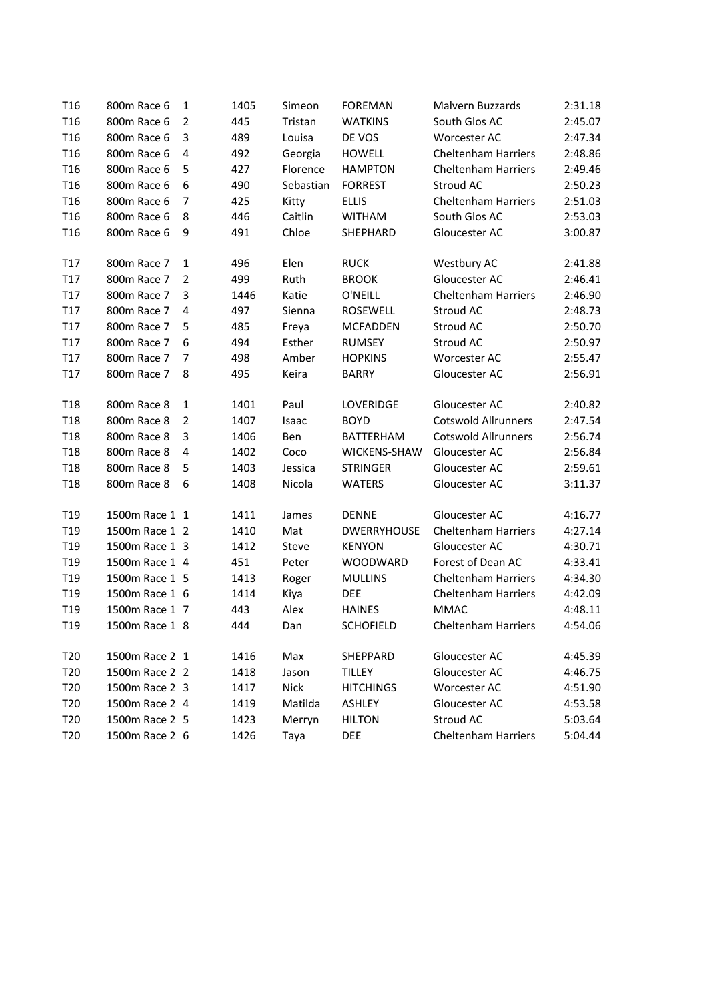| T <sub>16</sub> | 800m Race 6    | 1              | 1405 | Simeon    | <b>FOREMAN</b>     | Malvern Buzzards           | 2:31.18 |
|-----------------|----------------|----------------|------|-----------|--------------------|----------------------------|---------|
| T <sub>16</sub> | 800m Race 6    | $\overline{2}$ | 445  | Tristan   | <b>WATKINS</b>     | South Glos AC              | 2:45.07 |
| T <sub>16</sub> | 800m Race 6    | 3              | 489  | Louisa    | DE VOS             | Worcester AC               | 2:47.34 |
| T <sub>16</sub> | 800m Race 6    | 4              | 492  | Georgia   | <b>HOWELL</b>      | <b>Cheltenham Harriers</b> | 2:48.86 |
| T <sub>16</sub> | 800m Race 6    | 5              | 427  | Florence  | <b>HAMPTON</b>     | <b>Cheltenham Harriers</b> | 2:49.46 |
| T <sub>16</sub> | 800m Race 6    | 6              | 490  | Sebastian | <b>FORREST</b>     | Stroud AC                  | 2:50.23 |
| T <sub>16</sub> | 800m Race 6    | 7              | 425  | Kitty     | <b>ELLIS</b>       | <b>Cheltenham Harriers</b> | 2:51.03 |
| T <sub>16</sub> | 800m Race 6    | 8              | 446  | Caitlin   | <b>WITHAM</b>      | South Glos AC              | 2:53.03 |
| T <sub>16</sub> | 800m Race 6    | 9              | 491  | Chloe     | SHEPHARD           | Gloucester AC              | 3:00.87 |
| T <sub>17</sub> | 800m Race 7    | $\mathbf{1}$   | 496  | Elen      | <b>RUCK</b>        | Westbury AC                | 2:41.88 |
| T <sub>17</sub> | 800m Race 7    | $\overline{2}$ | 499  | Ruth      | <b>BROOK</b>       | Gloucester AC              | 2:46.41 |
| T <sub>17</sub> | 800m Race 7    | 3              | 1446 | Katie     | O'NEILL            | <b>Cheltenham Harriers</b> | 2:46.90 |
| T <sub>17</sub> | 800m Race 7    | 4              | 497  | Sienna    | ROSEWELL           | Stroud AC                  | 2:48.73 |
| T17             | 800m Race 7    | 5              | 485  | Freya     | <b>MCFADDEN</b>    | Stroud AC                  | 2:50.70 |
| T <sub>17</sub> | 800m Race 7    | 6              | 494  | Esther    | <b>RUMSEY</b>      | Stroud AC                  | 2:50.97 |
| T <sub>17</sub> | 800m Race 7    | 7              | 498  | Amber     | <b>HOPKINS</b>     | Worcester AC               | 2:55.47 |
| T17             | 800m Race 7    | 8              | 495  | Keira     | <b>BARRY</b>       | Gloucester AC              | 2:56.91 |
| T <sub>18</sub> | 800m Race 8    | $\mathbf{1}$   | 1401 | Paul      | LOVERIDGE          | Gloucester AC              | 2:40.82 |
| <b>T18</b>      | 800m Race 8    | $\overline{2}$ | 1407 | Isaac     | <b>BOYD</b>        | <b>Cotswold Allrunners</b> | 2:47.54 |
| T <sub>18</sub> | 800m Race 8    | 3              | 1406 | Ben       | <b>BATTERHAM</b>   | <b>Cotswold Allrunners</b> | 2:56.74 |
| T <sub>18</sub> | 800m Race 8    | 4              | 1402 | Coco      | WICKENS-SHAW       | Gloucester AC              | 2:56.84 |
| T <sub>18</sub> | 800m Race 8    | 5              | 1403 | Jessica   | <b>STRINGER</b>    | Gloucester AC              | 2:59.61 |
| T <sub>18</sub> | 800m Race 8    | 6              | 1408 | Nicola    | <b>WATERS</b>      | Gloucester AC              | 3:11.37 |
| T <sub>19</sub> | 1500m Race 1 1 |                | 1411 | James     | <b>DENNE</b>       | Gloucester AC              | 4:16.77 |
| T <sub>19</sub> | 1500m Race 1 2 |                | 1410 | Mat       | <b>DWERRYHOUSE</b> | <b>Cheltenham Harriers</b> | 4:27.14 |
| T <sub>19</sub> | 1500m Race 1 3 |                | 1412 | Steve     | <b>KENYON</b>      | Gloucester AC              | 4:30.71 |
| T <sub>19</sub> | 1500m Race 1 4 |                | 451  | Peter     | <b>WOODWARD</b>    | Forest of Dean AC          | 4:33.41 |
| T <sub>19</sub> | 1500m Race 1 5 |                | 1413 | Roger     | <b>MULLINS</b>     | <b>Cheltenham Harriers</b> | 4:34.30 |
| T <sub>19</sub> | 1500m Race 1 6 |                | 1414 | Kiya      | <b>DEE</b>         | <b>Cheltenham Harriers</b> | 4:42.09 |
| T <sub>19</sub> | 1500m Race 1 7 |                | 443  | Alex      | <b>HAINES</b>      | <b>MMAC</b>                | 4:48.11 |
| T <sub>19</sub> | 1500m Race 1 8 |                | 444  | Dan       | <b>SCHOFIELD</b>   | <b>Cheltenham Harriers</b> | 4:54.06 |
| T <sub>20</sub> | 1500m Race 2 1 |                | 1416 | Max       | SHEPPARD           | Gloucester AC              | 4:45.39 |
| T <sub>20</sub> | 1500m Race 2 2 |                | 1418 | Jason     | <b>TILLEY</b>      | Gloucester AC              | 4:46.75 |
| T <sub>20</sub> | 1500m Race 2 3 |                | 1417 | Nick      | <b>HITCHINGS</b>   | Worcester AC               | 4:51.90 |
| T20             | 1500m Race 2 4 |                | 1419 | Matilda   | <b>ASHLEY</b>      | Gloucester AC              | 4:53.58 |
| T <sub>20</sub> | 1500m Race 2 5 |                | 1423 | Merryn    | <b>HILTON</b>      | Stroud AC                  | 5:03.64 |
| T <sub>20</sub> | 1500m Race 2 6 |                | 1426 | Taya      | <b>DEE</b>         | <b>Cheltenham Harriers</b> | 5:04.44 |